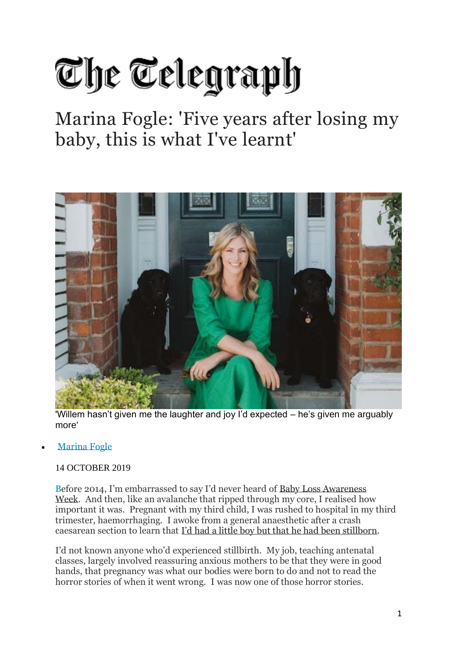## The Telegraph

## Marina Fogle: 'Five years after losing my baby, this is what I've learnt'



'Willem hasn't given me the laughter and joy I'd expected – he's given me arguably more'

**[Marina Fogle](https://www.telegraph.co.uk/authors/marina-fogle/)** 

## [14 OCTOBER](https://www.telegraph.co.uk/authors/marina-fogle/) 2019

Before 2014, I'm embarrassed to say I'd never heard of Baby Loss [Awareness](https://www.miscarriageassociation.org.uk/get-involved/raising-awareness/babyloss-awareness-week/) [Week.](https://www.miscarriageassociation.org.uk/get-involved/raising-awareness/babyloss-awareness-week/) [And then, like an ava](https://www.miscarriageassociation.org.uk/get-involved/raising-awareness/babyloss-awareness-week/)lanche that ripped through my core, I realised how important it was. Pregnant with my third child, I was rushed to hospital in my third trimester, haemorrhaging. I awoke from a general anaesthetic after a crash caesarean section to learn that I'd had a little boy but that he had been [stillborn.](https://www.telegraph.co.uk/health-fitness/body/marina-fogle-i-never-saw-my-son-open-his-eyes-or-smile-but-at-least-i-told-him-how-much-he-was-loved/)

[I'd not known anyone who'd experienced stillbirth](https://www.telegraph.co.uk/health-fitness/body/marina-fogle-i-never-saw-my-son-open-his-eyes-or-smile-but-at-least-i-told-him-how-much-he-was-loved/). My job, teaching antenatal classes, largely involved reassuring anxious mothers to be that they were in good hands, that pregnancy was what our bodies were born to do and not to read the horror stories of when it went wrong. I was now one of those horror stories.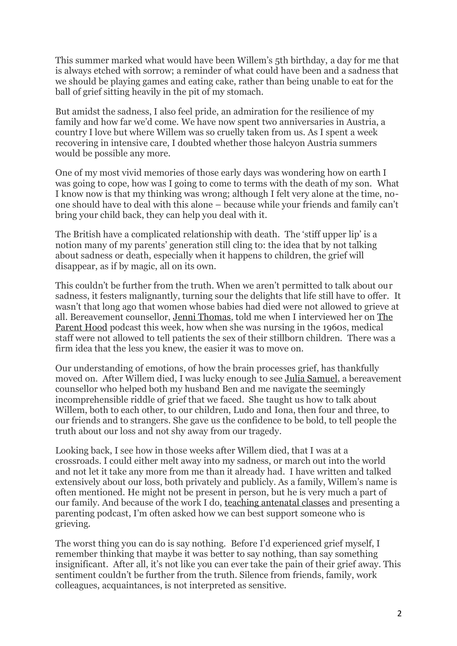This summer marked what would have been Willem's 5th birthday, a day for me that is always etched with sorrow; a reminder of what could have been and a sadness that we should be playing games and eating cake, rather than being unable to eat for the ball of grief sitting heavily in the pit of my stomach.

But amidst the sadness, I also feel pride, an admiration for the resilience of my family and how far we'd come. We have now spent two anniversaries in Austria, a country I love but where Willem was so cruelly taken from us. As I spent a week recovering in intensive care, I doubted whether those halcyon Austria summers would be possible any more.

One of my most vivid memories of those early days was wondering how on earth I was going to cope, how was I going to come to terms with the death of my son. What I know now is that my thinking was wrong; although I felt very alone at the time, noone should have to deal with this alone – because while your friends and family can't bring your child back, they can help you deal with it.

The British have a complicated relationship with death. The 'stiff upper lip' is a notion many of my parents' generation still cling to: the idea that by not talking about sadness or death, especially when it happens to children, the grief will disappear, as if by magic, all on its own.

This couldn't be further from the truth. When we aren't permitted to talk about our sadness, it festers malignantly, turning sour the delights that life still have to offer. It wasn't that long ago that women whose babies had died were not allowed to grieve at all. Bereavement counsellor, Jenni [Thomas, told me](http://www.jennithomas.com/node/31) when I interviewed her on [The](https://player.fm/series/the-parent-hood/supporting-parents-through-baby-loss) [Parent](https://player.fm/series/the-parent-hood/supporting-parents-through-baby-loss) Hood [podcast this w](https://player.fm/series/the-parent-hood/supporting-parents-through-baby-loss)eek, how when she was nursing in the 1960s, medical staff were not allowed to tell patients the sex of their stillborn children. There was a firm idea that the less you knew, the easier it was to move on.

Our understanding of emotions, of how the brain processes grief, has thankfully moved on. After Willem died, I was lucky enough to see Julia [Samuel, a bereavem](https://www.telegraph.co.uk/women/life/do-suffer-grief-eight-simple-steps-help-bereavement-julia-samuel/)ent counsellor who helped both my husband Ben and me navigate the seemingly incomprehensible riddle of grief that we faced. She taught us how to talk about Willem, both to each other, to our children, Ludo and Iona, then four and three, to our friends and to strangers. She gave us the confidence to be bold, to tell people the truth about our loss and not shy away from our tragedy.

Looking back, I see how in those weeks after Willem died, that I was at a crossroads. I could either melt away into my sadness, or march out into the world and not let it take any more from me than it already had. I have written and talked extensively about our loss, both privately and publicly. As a family, Willem's name is often mentioned. He might not be present in person, but he is very much a part of our family. And because of the work I do, teaching [antenatal](https://www.thebumpclass.com/) classes [and presenting a](https://www.thebumpclass.com/) [parentin](https://www.thebumpclass.com/)g podcast, I'm often asked how we can best support someone who is grieving.

The worst thing you can do is say nothing. Before I'd experienced grief myself, I remember thinking that maybe it was better to say nothing, than say something insignificant. After all, it's not like you can ever take the pain of their grief away. This sentiment couldn't be further from the truth. Silence from friends, family, work colleagues, acquaintances, is not interpreted as sensitive.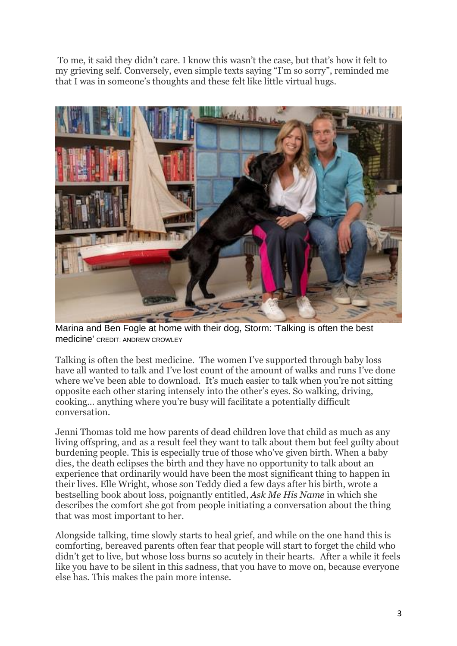To me, it said they didn't care. I know this wasn't the case, but that's how it felt to my grieving self. Conversely, even simple texts saying "I'm so sorry", reminded me that I was in someone's thoughts and these felt like little virtual hugs.



Marina and Ben Fogle at home with their dog, Storm: 'Talking is often the best medicine' CREDIT: ANDREW CROWLEY

Talking is often the best medicine. The women I've supported through baby loss have all wanted to talk and I've lost count of the amount of walks and runs I've done where we've been able to download. It's much easier to talk when you're not sitting opposite each other staring intensely into the other's eyes. So walking, driving, cooking… anything where you're busy will facilitate a potentially difficult conversation.

Jenni Thomas told me how parents of dead children love that child as much as any living offspring, and as a result feel they want to talk about them but feel guilty about burdening people. This is especially true of those who've given birth. When a baby dies, the death eclipses the birth and they have no opportunity to talk about an experience that ordinarily would have been the most significant thing to happen in their lives. Elle Wright, whose son Teddy died a few days after his birth, wrote a bestselling book about loss, poignantly entitled, *Ask Me His [Name](https://books.telegraph.co.uk/Product/Elle-Wright/Ask-Me-His-Name--Learning-to-live-and-laugh-again-after-the-loss-of-my-baby/23154673)* [in which she](https://books.telegraph.co.uk/Product/Elle-Wright/Ask-Me-His-Name--Learning-to-live-and-laugh-again-after-the-loss-of-my-baby/23154673) [d](https://books.telegraph.co.uk/Product/Elle-Wright/Ask-Me-His-Name--Learning-to-live-and-laugh-again-after-the-loss-of-my-baby/23154673)escribes the comfort she got from people initiating a conversation about the thing that was most important to her.

Alongside talking, time slowly starts to heal grief, and while on the one hand this is comforting, bereaved parents often fear that people will start to forget the child who didn't get to live, but whose loss burns so acutely in their hearts. After a while it feels like you have to be silent in this sadness, that you have to move on, because everyone else has. This makes the pain more intense.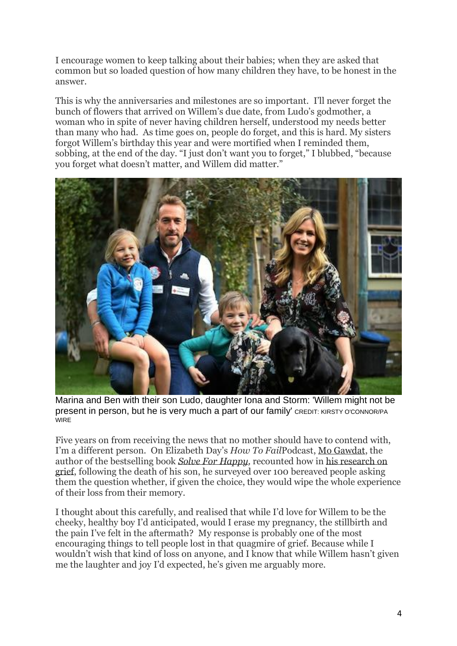I encourage women to keep talking about their babies; when they are asked that common but so loaded question of how many children they have, to be honest in the answer.

This is why the anniversaries and milestones are so important. I'll never forget the bunch of flowers that arrived on Willem's due date, from Ludo's godmother, a woman who in spite of never having children herself, understood my needs better than many who had. As time goes on, people do forget, and this is hard. My sisters forgot Willem's birthday this year and were mortified when I reminded them, sobbing, at the end of the day. "I just don't want you to forget," I blubbed, "because you forget what doesn't matter, and Willem did matter."



Marina and Ben with their son Ludo, daughter Iona and Storm: 'Willem might not be present in person, but he is very much a part of our family' CREDIT: KIRSTY O'CONNOR/PA **WIRE** 

Five years on from receiving the news that no mother should have to contend with, I'm a different person. On Elizabeth Day's *How To Fail*Podcast, Mo [Gawdat, the](https://podcasts.apple.com/gb/podcast/s4-ep4-how-to-fail-mo-gawdat/id1407451189?i=1000436244962) [aut](https://podcasts.apple.com/gb/podcast/s4-ep4-how-to-fail-mo-gawdat/id1407451189?i=1000436244962)hor of the bestselling book *Solve For [Happy,](https://books.telegraph.co.uk/Product/Mo-Gawdat/Solve-For-Happy--Engineer-Your-Path-to-Joy/21394245)* [recounted how](https://books.telegraph.co.uk/Product/Mo-Gawdat/Solve-For-Happy--Engineer-Your-Path-to-Joy/21394245) in his [research](https://www.telegraph.co.uk/business/open-economy/using-technology-for-a-happier-society/) on [grief,](https://www.telegraph.co.uk/business/open-economy/using-technology-for-a-happier-society/) [following the death](https://www.telegraph.co.uk/business/open-economy/using-technology-for-a-happier-society/) of his son, he surveyed over 100 bereaved people asking them the question whether, if given the choice, they would wipe the whole experience of their loss from their memory.

I thought about this carefully, and realised that while I'd love for Willem to be the cheeky, healthy boy I'd anticipated, would I erase my pregnancy, the stillbirth and the pain I've felt in the aftermath? My response is probably one of the most encouraging things to tell people lost in that quagmire of grief. Because while I wouldn't wish that kind of loss on anyone, and I know that while Willem hasn't given me the laughter and joy I'd expected, he's given me arguably more.